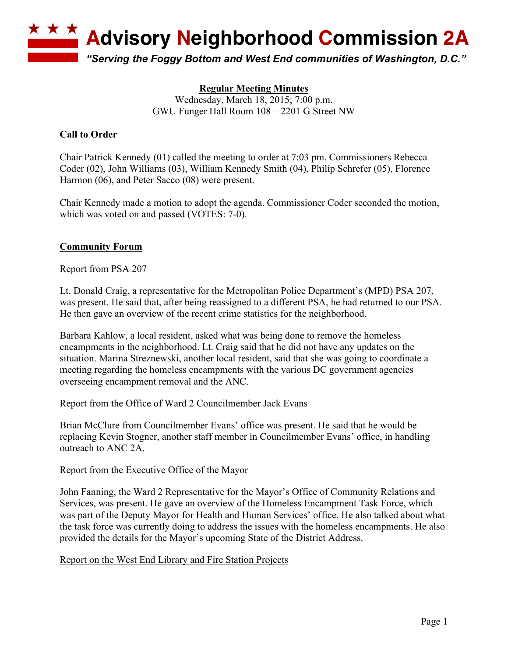

### **Regular Meeting Minutes** Wednesday, March 18, 2015; 7:00 p.m. GWU Funger Hall Room 108 – 2201 G Street NW

# **Call to Order**

Chair Patrick Kennedy (01) called the meeting to order at 7:03 pm. Commissioners Rebecca Coder (02), John Williams (03), William Kennedy Smith (04), Philip Schrefer (05), Florence Harmon (06), and Peter Sacco (08) were present.

Chair Kennedy made a motion to adopt the agenda. Commissioner Coder seconded the motion, which was voted on and passed (VOTES: 7-0).

### **Community Forum**

#### Report from PSA 207

Lt. Donald Craig, a representative for the Metropolitan Police Department's (MPD) PSA 207, was present. He said that, after being reassigned to a different PSA, he had returned to our PSA. He then gave an overview of the recent crime statistics for the neighborhood.

Barbara Kahlow, a local resident, asked what was being done to remove the homeless encampments in the neighborhood. Lt. Craig said that he did not have any updates on the situation. Marina Streznewski, another local resident, said that she was going to coordinate a meeting regarding the homeless encampments with the various DC government agencies overseeing encampment removal and the ANC.

#### Report from the Office of Ward 2 Councilmember Jack Evans

Brian McClure from Councilmember Evans' office was present. He said that he would be replacing Kevin Stogner, another staff member in Councilmember Evans' office, in handling outreach to ANC 2A.

### Report from the Executive Office of the Mayor

John Fanning, the Ward 2 Representative for the Mayor's Office of Community Relations and Services, was present. He gave an overview of the Homeless Encampment Task Force, which was part of the Deputy Mayor for Health and Human Services' office. He also talked about what the task force was currently doing to address the issues with the homeless encampments. He also provided the details for the Mayor's upcoming State of the District Address.

### Report on the West End Library and Fire Station Projects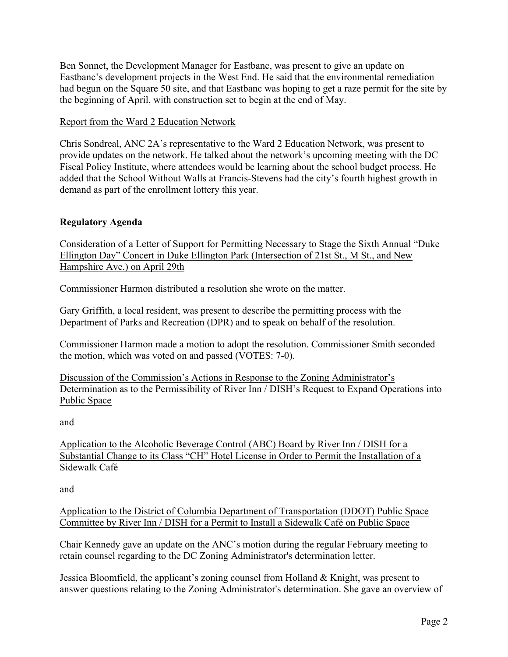Ben Sonnet, the Development Manager for Eastbanc, was present to give an update on Eastbanc's development projects in the West End. He said that the environmental remediation had begun on the Square 50 site, and that Eastbanc was hoping to get a raze permit for the site by the beginning of April, with construction set to begin at the end of May.

## Report from the Ward 2 Education Network

Chris Sondreal, ANC 2A's representative to the Ward 2 Education Network, was present to provide updates on the network. He talked about the network's upcoming meeting with the DC Fiscal Policy Institute, where attendees would be learning about the school budget process. He added that the School Without Walls at Francis-Stevens had the city's fourth highest growth in demand as part of the enrollment lottery this year.

# **Regulatory Agenda**

Consideration of a Letter of Support for Permitting Necessary to Stage the Sixth Annual "Duke Ellington Day" Concert in Duke Ellington Park (Intersection of 21st St., M St., and New Hampshire Ave.) on April 29th

Commissioner Harmon distributed a resolution she wrote on the matter.

Gary Griffith, a local resident, was present to describe the permitting process with the Department of Parks and Recreation (DPR) and to speak on behalf of the resolution.

Commissioner Harmon made a motion to adopt the resolution. Commissioner Smith seconded the motion, which was voted on and passed (VOTES: 7-0).

Discussion of the Commission's Actions in Response to the Zoning Administrator's Determination as to the Permissibility of River Inn / DISH's Request to Expand Operations into Public Space

and

Application to the Alcoholic Beverage Control (ABC) Board by River Inn / DISH for a Substantial Change to its Class "CH" Hotel License in Order to Permit the Installation of a Sidewalk Café

and

Application to the District of Columbia Department of Transportation (DDOT) Public Space Committee by River Inn / DISH for a Permit to Install a Sidewalk Café on Public Space

Chair Kennedy gave an update on the ANC's motion during the regular February meeting to retain counsel regarding to the DC Zoning Administrator's determination letter.

Jessica Bloomfield, the applicant's zoning counsel from Holland & Knight, was present to answer questions relating to the Zoning Administrator's determination. She gave an overview of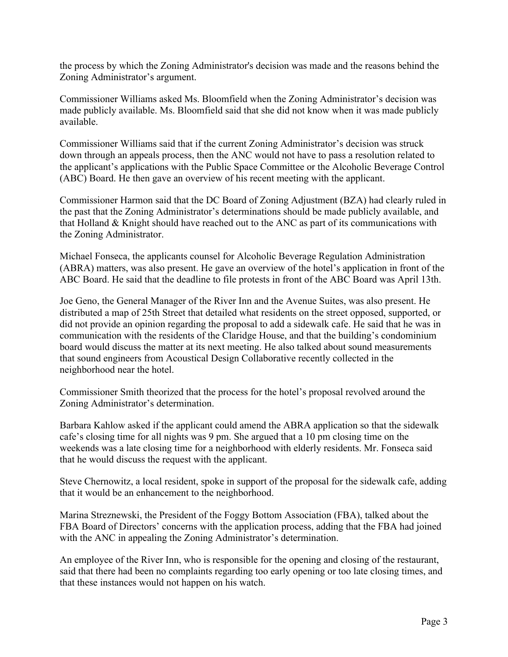the process by which the Zoning Administrator's decision was made and the reasons behind the Zoning Administrator's argument.

Commissioner Williams asked Ms. Bloomfield when the Zoning Administrator's decision was made publicly available. Ms. Bloomfield said that she did not know when it was made publicly available.

Commissioner Williams said that if the current Zoning Administrator's decision was struck down through an appeals process, then the ANC would not have to pass a resolution related to the applicant's applications with the Public Space Committee or the Alcoholic Beverage Control (ABC) Board. He then gave an overview of his recent meeting with the applicant.

Commissioner Harmon said that the DC Board of Zoning Adjustment (BZA) had clearly ruled in the past that the Zoning Administrator's determinations should be made publicly available, and that Holland & Knight should have reached out to the ANC as part of its communications with the Zoning Administrator.

Michael Fonseca, the applicants counsel for Alcoholic Beverage Regulation Administration (ABRA) matters, was also present. He gave an overview of the hotel's application in front of the ABC Board. He said that the deadline to file protests in front of the ABC Board was April 13th.

Joe Geno, the General Manager of the River Inn and the Avenue Suites, was also present. He distributed a map of 25th Street that detailed what residents on the street opposed, supported, or did not provide an opinion regarding the proposal to add a sidewalk cafe. He said that he was in communication with the residents of the Claridge House, and that the building's condominium board would discuss the matter at its next meeting. He also talked about sound measurements that sound engineers from Acoustical Design Collaborative recently collected in the neighborhood near the hotel.

Commissioner Smith theorized that the process for the hotel's proposal revolved around the Zoning Administrator's determination.

Barbara Kahlow asked if the applicant could amend the ABRA application so that the sidewalk cafe's closing time for all nights was 9 pm. She argued that a 10 pm closing time on the weekends was a late closing time for a neighborhood with elderly residents. Mr. Fonseca said that he would discuss the request with the applicant.

Steve Chernowitz, a local resident, spoke in support of the proposal for the sidewalk cafe, adding that it would be an enhancement to the neighborhood.

Marina Streznewski, the President of the Foggy Bottom Association (FBA), talked about the FBA Board of Directors' concerns with the application process, adding that the FBA had joined with the ANC in appealing the Zoning Administrator's determination.

An employee of the River Inn, who is responsible for the opening and closing of the restaurant, said that there had been no complaints regarding too early opening or too late closing times, and that these instances would not happen on his watch.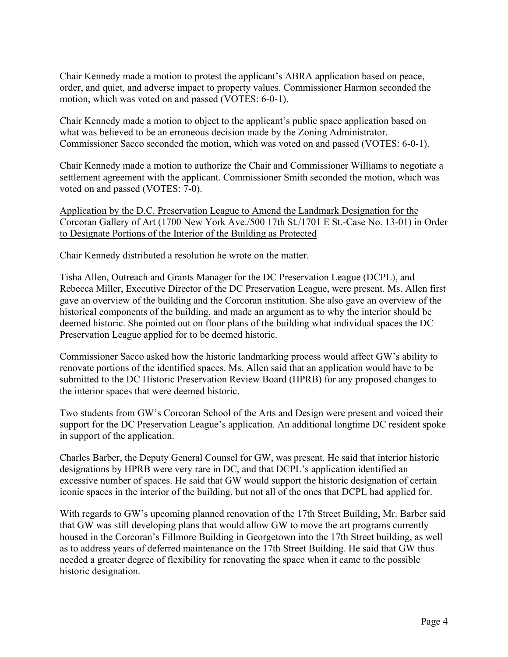Chair Kennedy made a motion to protest the applicant's ABRA application based on peace, order, and quiet, and adverse impact to property values. Commissioner Harmon seconded the motion, which was voted on and passed (VOTES: 6-0-1).

Chair Kennedy made a motion to object to the applicant's public space application based on what was believed to be an erroneous decision made by the Zoning Administrator. Commissioner Sacco seconded the motion, which was voted on and passed (VOTES: 6-0-1).

Chair Kennedy made a motion to authorize the Chair and Commissioner Williams to negotiate a settlement agreement with the applicant. Commissioner Smith seconded the motion, which was voted on and passed (VOTES: 7-0).

Application by the D.C. Preservation League to Amend the Landmark Designation for the Corcoran Gallery of Art (1700 New York Ave./500 17th St./1701 E St.-Case No. 13-01) in Order to Designate Portions of the Interior of the Building as Protected

Chair Kennedy distributed a resolution he wrote on the matter.

Tisha Allen, Outreach and Grants Manager for the DC Preservation League (DCPL), and Rebecca Miller, Executive Director of the DC Preservation League, were present. Ms. Allen first gave an overview of the building and the Corcoran institution. She also gave an overview of the historical components of the building, and made an argument as to why the interior should be deemed historic. She pointed out on floor plans of the building what individual spaces the DC Preservation League applied for to be deemed historic.

Commissioner Sacco asked how the historic landmarking process would affect GW's ability to renovate portions of the identified spaces. Ms. Allen said that an application would have to be submitted to the DC Historic Preservation Review Board (HPRB) for any proposed changes to the interior spaces that were deemed historic.

Two students from GW's Corcoran School of the Arts and Design were present and voiced their support for the DC Preservation League's application. An additional longtime DC resident spoke in support of the application.

Charles Barber, the Deputy General Counsel for GW, was present. He said that interior historic designations by HPRB were very rare in DC, and that DCPL's application identified an excessive number of spaces. He said that GW would support the historic designation of certain iconic spaces in the interior of the building, but not all of the ones that DCPL had applied for.

With regards to GW's upcoming planned renovation of the 17th Street Building, Mr. Barber said that GW was still developing plans that would allow GW to move the art programs currently housed in the Corcoran's Fillmore Building in Georgetown into the 17th Street building, as well as to address years of deferred maintenance on the 17th Street Building. He said that GW thus needed a greater degree of flexibility for renovating the space when it came to the possible historic designation.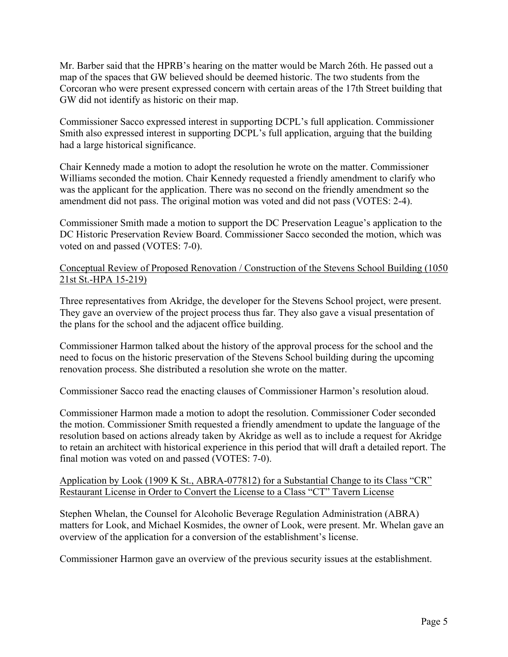Mr. Barber said that the HPRB's hearing on the matter would be March 26th. He passed out a map of the spaces that GW believed should be deemed historic. The two students from the Corcoran who were present expressed concern with certain areas of the 17th Street building that GW did not identify as historic on their map.

Commissioner Sacco expressed interest in supporting DCPL's full application. Commissioner Smith also expressed interest in supporting DCPL's full application, arguing that the building had a large historical significance.

Chair Kennedy made a motion to adopt the resolution he wrote on the matter. Commissioner Williams seconded the motion. Chair Kennedy requested a friendly amendment to clarify who was the applicant for the application. There was no second on the friendly amendment so the amendment did not pass. The original motion was voted and did not pass (VOTES: 2-4).

Commissioner Smith made a motion to support the DC Preservation League's application to the DC Historic Preservation Review Board. Commissioner Sacco seconded the motion, which was voted on and passed (VOTES: 7-0).

### Conceptual Review of Proposed Renovation / Construction of the Stevens School Building (1050 21st St.-HPA 15-219)

Three representatives from Akridge, the developer for the Stevens School project, were present. They gave an overview of the project process thus far. They also gave a visual presentation of the plans for the school and the adjacent office building.

Commissioner Harmon talked about the history of the approval process for the school and the need to focus on the historic preservation of the Stevens School building during the upcoming renovation process. She distributed a resolution she wrote on the matter.

Commissioner Sacco read the enacting clauses of Commissioner Harmon's resolution aloud.

Commissioner Harmon made a motion to adopt the resolution. Commissioner Coder seconded the motion. Commissioner Smith requested a friendly amendment to update the language of the resolution based on actions already taken by Akridge as well as to include a request for Akridge to retain an architect with historical experience in this period that will draft a detailed report. The final motion was voted on and passed (VOTES: 7-0).

### Application by Look (1909 K St., ABRA-077812) for a Substantial Change to its Class "CR" Restaurant License in Order to Convert the License to a Class "CT" Tavern License

Stephen Whelan, the Counsel for Alcoholic Beverage Regulation Administration (ABRA) matters for Look, and Michael Kosmides, the owner of Look, were present. Mr. Whelan gave an overview of the application for a conversion of the establishment's license.

Commissioner Harmon gave an overview of the previous security issues at the establishment.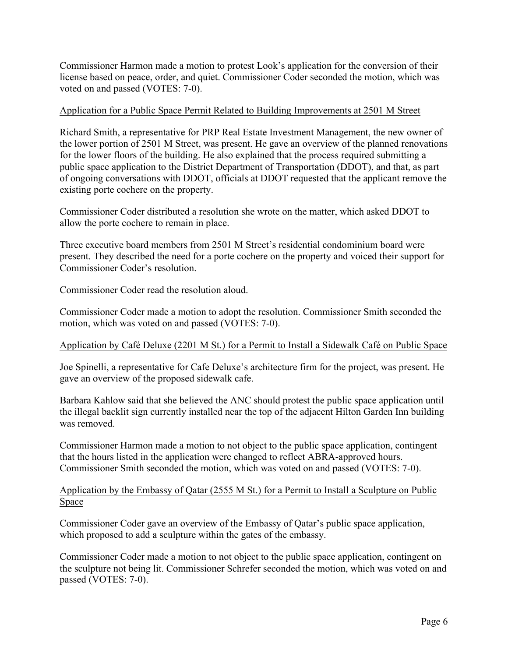Commissioner Harmon made a motion to protest Look's application for the conversion of their license based on peace, order, and quiet. Commissioner Coder seconded the motion, which was voted on and passed (VOTES: 7-0).

### Application for a Public Space Permit Related to Building Improvements at 2501 M Street

Richard Smith, a representative for PRP Real Estate Investment Management, the new owner of the lower portion of 2501 M Street, was present. He gave an overview of the planned renovations for the lower floors of the building. He also explained that the process required submitting a public space application to the District Department of Transportation (DDOT), and that, as part of ongoing conversations with DDOT, officials at DDOT requested that the applicant remove the existing porte cochere on the property.

Commissioner Coder distributed a resolution she wrote on the matter, which asked DDOT to allow the porte cochere to remain in place.

Three executive board members from 2501 M Street's residential condominium board were present. They described the need for a porte cochere on the property and voiced their support for Commissioner Coder's resolution.

Commissioner Coder read the resolution aloud.

Commissioner Coder made a motion to adopt the resolution. Commissioner Smith seconded the motion, which was voted on and passed (VOTES: 7-0).

### Application by Café Deluxe (2201 M St.) for a Permit to Install a Sidewalk Café on Public Space

Joe Spinelli, a representative for Cafe Deluxe's architecture firm for the project, was present. He gave an overview of the proposed sidewalk cafe.

Barbara Kahlow said that she believed the ANC should protest the public space application until the illegal backlit sign currently installed near the top of the adjacent Hilton Garden Inn building was removed.

Commissioner Harmon made a motion to not object to the public space application, contingent that the hours listed in the application were changed to reflect ABRA-approved hours. Commissioner Smith seconded the motion, which was voted on and passed (VOTES: 7-0).

### Application by the Embassy of Qatar (2555 M St.) for a Permit to Install a Sculpture on Public **Space**

Commissioner Coder gave an overview of the Embassy of Qatar's public space application, which proposed to add a sculpture within the gates of the embassy.

Commissioner Coder made a motion to not object to the public space application, contingent on the sculpture not being lit. Commissioner Schrefer seconded the motion, which was voted on and passed (VOTES: 7-0).